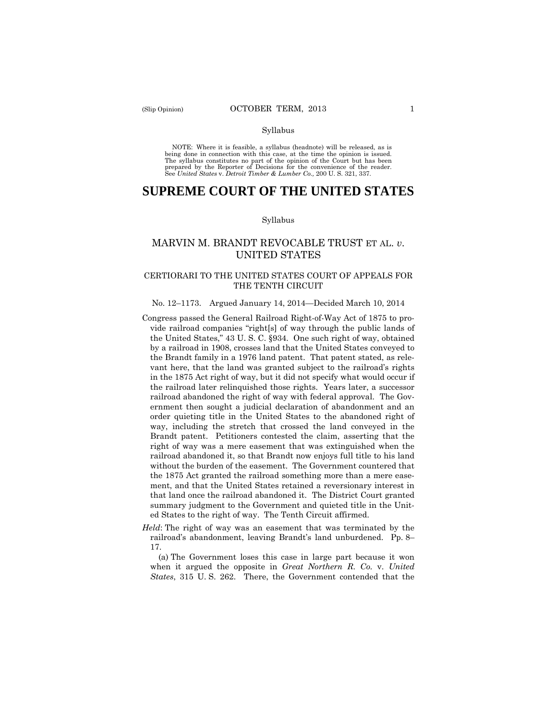#### Syllabus

 NOTE: Where it is feasible, a syllabus (headnote) will be released, as is being done in connection with this case, at the time the opinion is issued. The syllabus constitutes no part of the opinion of the Court but has been<br>prepared by the Reporter of Decisions for the convenience of the reader.<br>See United States v. Detroit Timber & Lumber Co., 200 U.S. 321, 337.

# **SUPREME COURT OF THE UNITED STATES**

#### Syllabus

# MARVIN M. BRANDT REVOCABLE TRUST ET AL. *v*. UNITED STATES

## CERTIORARI TO THE UNITED STATES COURT OF APPEALS FOR THE TENTH CIRCUIT

# No. 12–1173. Argued January 14, 2014—Decided March 10, 2014

- Congress passed the General Railroad Right-of-Way Act of 1875 to provide railroad companies "right[s] of way through the public lands of the United States," 43 U. S. C. §934. One such right of way, obtained by a railroad in 1908, crosses land that the United States conveyed to the Brandt family in a 1976 land patent. That patent stated, as relevant here, that the land was granted subject to the railroad's rights in the 1875 Act right of way, but it did not specify what would occur if the railroad later relinquished those rights. Years later, a successor railroad abandoned the right of way with federal approval. The Government then sought a judicial declaration of abandonment and an order quieting title in the United States to the abandoned right of way, including the stretch that crossed the land conveyed in the Brandt patent. Petitioners contested the claim, asserting that the right of way was a mere easement that was extinguished when the railroad abandoned it, so that Brandt now enjoys full title to his land without the burden of the easement. The Government countered that the 1875 Act granted the railroad something more than a mere easement, and that the United States retained a reversionary interest in that land once the railroad abandoned it. The District Court granted summary judgment to the Government and quieted title in the United States to the right of way. The Tenth Circuit affirmed.
- *Held*: The right of way was an easement that was terminated by the railroad's abandonment, leaving Brandt's land unburdened. Pp. 8– 17.

(a) The Government loses this case in large part because it won when it argued the opposite in *Great Northern R. Co.* v. *United States*, 315 U. S. 262. There, the Government contended that the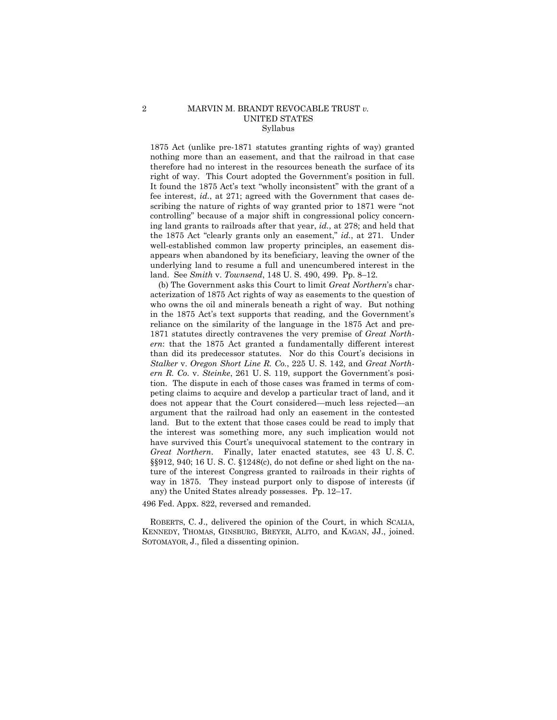### 2 MARVIN M. BRANDT REVOCABLE TRUST *v.* UNITED STATES Syllabus

1875 Act (unlike pre-1871 statutes granting rights of way) granted nothing more than an easement, and that the railroad in that case therefore had no interest in the resources beneath the surface of its right of way. This Court adopted the Government's position in full. It found the 1875 Act's text "wholly inconsistent" with the grant of a fee interest, *id.*, at 271; agreed with the Government that cases describing the nature of rights of way granted prior to 1871 were "not controlling" because of a major shift in congressional policy concerning land grants to railroads after that year, *id.*, at 278; and held that the 1875 Act "clearly grants only an easement," *id.*, at 271. Under well-established common law property principles, an easement disappears when abandoned by its beneficiary, leaving the owner of the underlying land to resume a full and unencumbered interest in the land. See *Smith* v. *Townsend*, 148 U. S. 490, 499. Pp. 8–12.

 have survived this Court's unequivocal statement to the contrary in *Great Northern*. Finally, later enacted statutes, see 43 U. S. C. (b) The Government asks this Court to limit *Great Northern*'s characterization of 1875 Act rights of way as easements to the question of who owns the oil and minerals beneath a right of way. But nothing in the 1875 Act's text supports that reading, and the Government's reliance on the similarity of the language in the 1875 Act and pre-1871 statutes directly contravenes the very premise of *Great Northern*: that the 1875 Act granted a fundamentally different interest than did its predecessor statutes. Nor do this Court's decisions in *Stalker* v. *Oregon Short Line R. Co.*, 225 U. S. 142, and *Great Northern R. Co.* v. *Steinke*, 261 U. S. 119, support the Government's position. The dispute in each of those cases was framed in terms of competing claims to acquire and develop a particular tract of land, and it does not appear that the Court considered—much less rejected—an argument that the railroad had only an easement in the contested land. But to the extent that those cases could be read to imply that the interest was something more, any such implication would not §§912, 940; 16 U. S. C. §1248(c), do not define or shed light on the nature of the interest Congress granted to railroads in their rights of way in 1875. They instead purport only to dispose of interests (if any) the United States already possesses. Pp. 12–17.

496 Fed. Appx. 822, reversed and remanded.

ROBERTS, C. J., delivered the opinion of the Court, in which SCALIA, KENNEDY, THOMAS, GINSBURG, BREYER, ALITO, and KAGAN, JJ., joined. SOTOMAYOR, J., filed a dissenting opinion.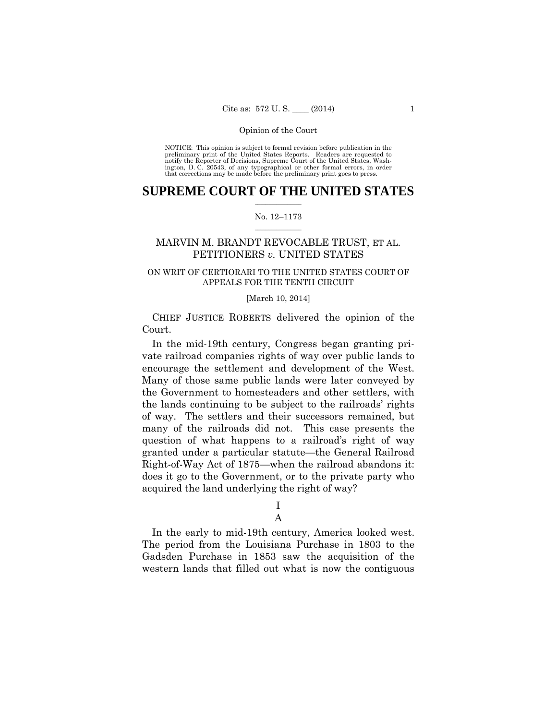preliminary print of the United States Reports. Readers are requested to notify the Reporter of Decisions, Supreme Court of the United States, Wash- ington, D. C. 20543, of any typographical or other formal errors, in order that corrections may be made before the preliminary print goes to press. NOTICE: This opinion is subject to formal revision before publication in the

### $\frac{1}{2}$  ,  $\frac{1}{2}$  ,  $\frac{1}{2}$  ,  $\frac{1}{2}$  ,  $\frac{1}{2}$  ,  $\frac{1}{2}$  ,  $\frac{1}{2}$ **SUPREME COURT OF THE UNITED STATES**

### $\frac{1}{2}$  ,  $\frac{1}{2}$  ,  $\frac{1}{2}$  ,  $\frac{1}{2}$  ,  $\frac{1}{2}$  ,  $\frac{1}{2}$ No. 12–1173

# MARVIN M. BRANDT REVOCABLE TRUST, ET AL. PETITIONERS *v.* UNITED STATES

# ON WRIT OF CERTIORARI TO THE UNITED STATES COURT OF APPEALS FOR THE TENTH CIRCUIT

### [March 10, 2014]

 CHIEF JUSTICE ROBERTS delivered the opinion of the Court.

In the mid-19th century, Congress began granting private railroad companies rights of way over public lands to encourage the settlement and development of the West. Many of those same public lands were later conveyed by the Government to homesteaders and other settlers, with the lands continuing to be subject to the railroads' rights of way. The settlers and their successors remained, but many of the railroads did not. This case presents the question of what happens to a railroad's right of way granted under a particular statute—the General Railroad Right-of-Way Act of 1875—when the railroad abandons it: does it go to the Government, or to the private party who acquired the land underlying the right of way?

I

A

In the early to mid-19th century, America looked west. The period from the Louisiana Purchase in 1803 to the Gadsden Purchase in 1853 saw the acquisition of the western lands that filled out what is now the contiguous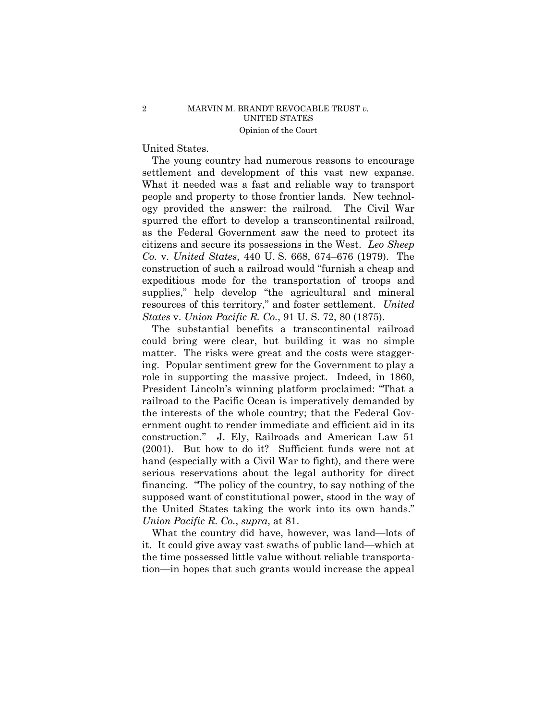# United States.

The young country had numerous reasons to encourage settlement and development of this vast new expanse. What it needed was a fast and reliable way to transport people and property to those frontier lands. New technology provided the answer: the railroad. The Civil War spurred the effort to develop a transcontinental railroad, as the Federal Government saw the need to protect its citizens and secure its possessions in the West. *Leo Sheep Co.* v. *United States*, 440 U. S. 668, 674–676 (1979). The construction of such a railroad would "furnish a cheap and expeditious mode for the transportation of troops and supplies," help develop "the agricultural and mineral resources of this territory," and foster settlement. *United States* v. *Union Pacific R. Co.*, 91 U. S. 72, 80 (1875).

The substantial benefits a transcontinental railroad could bring were clear, but building it was no simple matter. The risks were great and the costs were staggering. Popular sentiment grew for the Government to play a role in supporting the massive project. Indeed, in 1860, President Lincoln's winning platform proclaimed: "That a railroad to the Pacific Ocean is imperatively demanded by the interests of the whole country; that the Federal Government ought to render immediate and efficient aid in its construction." J. Ely, Railroads and American Law 51 (2001). But how to do it? Sufficient funds were not at hand (especially with a Civil War to fight), and there were serious reservations about the legal authority for direct financing. "The policy of the country, to say nothing of the supposed want of constitutional power, stood in the way of the United States taking the work into its own hands." *Union Pacific R. Co.*, *supra*, at 81.

What the country did have, however, was land—lots of it. It could give away vast swaths of public land—which at the time possessed little value without reliable transportation—in hopes that such grants would increase the appeal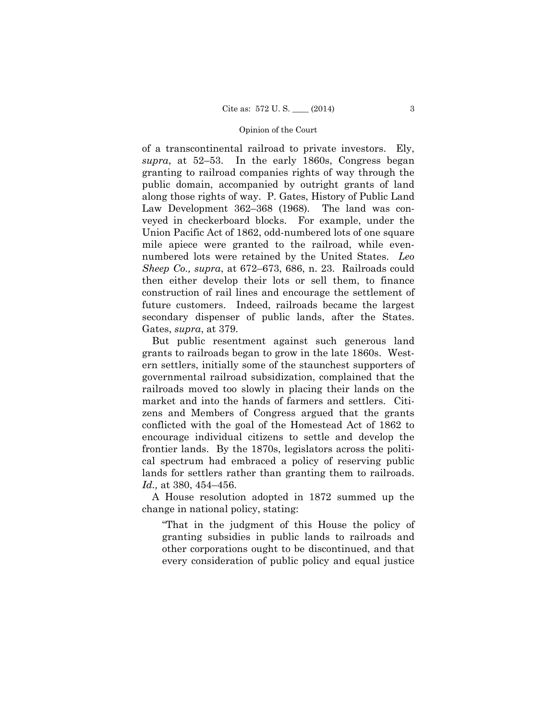along those rights of way. P. Gates, History of Public Land of a transcontinental railroad to private investors. Ely, *supra*, at 52–53. In the early 1860s, Congress began granting to railroad companies rights of way through the public domain, accompanied by outright grants of land Law Development 362–368 (1968). The land was conveyed in checkerboard blocks. For example, under the Union Pacific Act of 1862, odd-numbered lots of one square mile apiece were granted to the railroad, while evennumbered lots were retained by the United States. *Leo Sheep Co., supra*, at 672–673, 686, n. 23. Railroads could then either develop their lots or sell them, to finance construction of rail lines and encourage the settlement of future customers. Indeed, railroads became the largest secondary dispenser of public lands, after the States. Gates, *supra*, at 379.

But public resentment against such generous land grants to railroads began to grow in the late 1860s. Western settlers, initially some of the staunchest supporters of governmental railroad subsidization, complained that the railroads moved too slowly in placing their lands on the market and into the hands of farmers and settlers. Citizens and Members of Congress argued that the grants conflicted with the goal of the Homestead Act of 1862 to encourage individual citizens to settle and develop the frontier lands. By the 1870s, legislators across the political spectrum had embraced a policy of reserving public lands for settlers rather than granting them to railroads. *Id.,* at 380, 454–456.

A House resolution adopted in 1872 summed up the change in national policy, stating:

"That in the judgment of this House the policy of granting subsidies in public lands to railroads and other corporations ought to be discontinued, and that every consideration of public policy and equal justice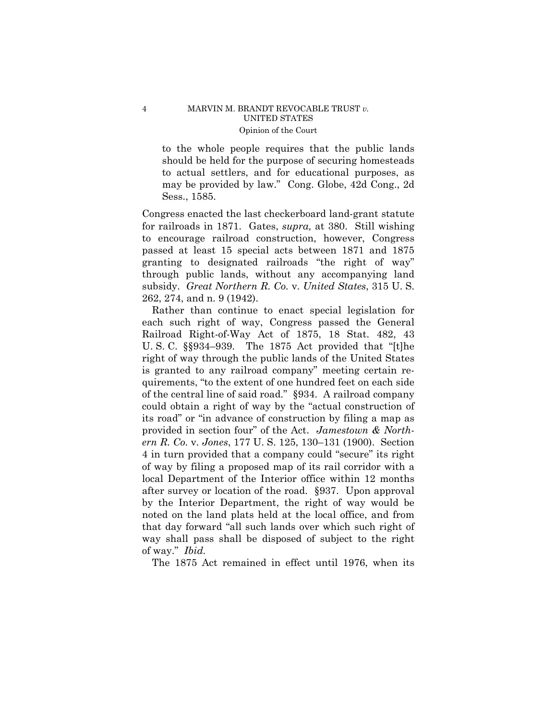to the whole people requires that the public lands should be held for the purpose of securing homesteads to actual settlers, and for educational purposes, as may be provided by law." Cong. Globe, 42d Cong., 2d Sess., 1585.

Congress enacted the last checkerboard land-grant statute for railroads in 1871. Gates, *supra,* at 380. Still wishing to encourage railroad construction, however, Congress passed at least 15 special acts between 1871 and 1875 granting to designated railroads "the right of way" through public lands, without any accompanying land subsidy. *Great Northern R. Co.* v. *United States*, 315 U. S. 262, 274, and n. 9 (1942).

Rather than continue to enact special legislation for each such right of way, Congress passed the General Railroad Right-of-Way Act of 1875, 18 Stat. 482, 43 U. S. C. §§934–939. The 1875 Act provided that "[t]he right of way through the public lands of the United States is granted to any railroad company" meeting certain requirements, "to the extent of one hundred feet on each side of the central line of said road." §934. A railroad company could obtain a right of way by the "actual construction of its road" or "in advance of construction by filing a map as provided in section four" of the Act. *Jamestown & Northern R. Co.* v. *Jones*, 177 U. S. 125, 130–131 (1900). Section 4 in turn provided that a company could "secure" its right of way by filing a proposed map of its rail corridor with a local Department of the Interior office within 12 months after survey or location of the road. §937. Upon approval by the Interior Department, the right of way would be noted on the land plats held at the local office, and from that day forward "all such lands over which such right of way shall pass shall be disposed of subject to the right of way." *Ibid.* 

The 1875 Act remained in effect until 1976, when its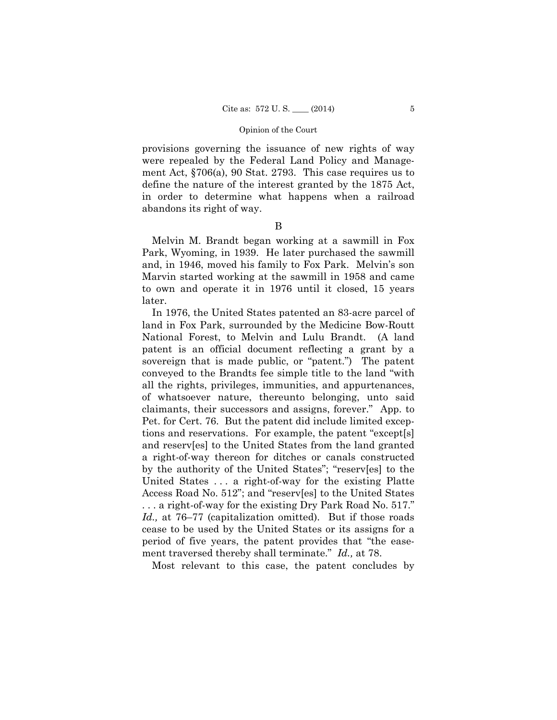provisions governing the issuance of new rights of way were repealed by the Federal Land Policy and Management Act, §706(a), 90 Stat. 2793. This case requires us to define the nature of the interest granted by the 1875 Act, in order to determine what happens when a railroad abandons its right of way.

B

Melvin M. Brandt began working at a sawmill in Fox Park, Wyoming, in 1939. He later purchased the sawmill and, in 1946, moved his family to Fox Park. Melvin's son Marvin started working at the sawmill in 1958 and came to own and operate it in 1976 until it closed, 15 years later.

In 1976, the United States patented an 83-acre parcel of land in Fox Park, surrounded by the Medicine Bow-Routt National Forest, to Melvin and Lulu Brandt. (A land patent is an official document reflecting a grant by a sovereign that is made public, or "patent.") The patent conveyed to the Brandts fee simple title to the land "with all the rights, privileges, immunities, and appurtenances, of whatsoever nature, thereunto belonging, unto said claimants, their successors and assigns, forever." App. to Pet. for Cert. 76. But the patent did include limited exceptions and reservations. For example, the patent "except[s] and reserv[es] to the United States from the land granted a right-of-way thereon for ditches or canals constructed by the authority of the United States"; "reserv[es] to the United States . . . a right-of-way for the existing Platte Access Road No. 512"; and "reserv[es] to the United States . . . a right-of-way for the existing Dry Park Road No. 517." *Id.,* at 76–77 (capitalization omitted). But if those roads cease to be used by the United States or its assigns for a period of five years, the patent provides that "the easement traversed thereby shall terminate." *Id.,* at 78.

Most relevant to this case, the patent concludes by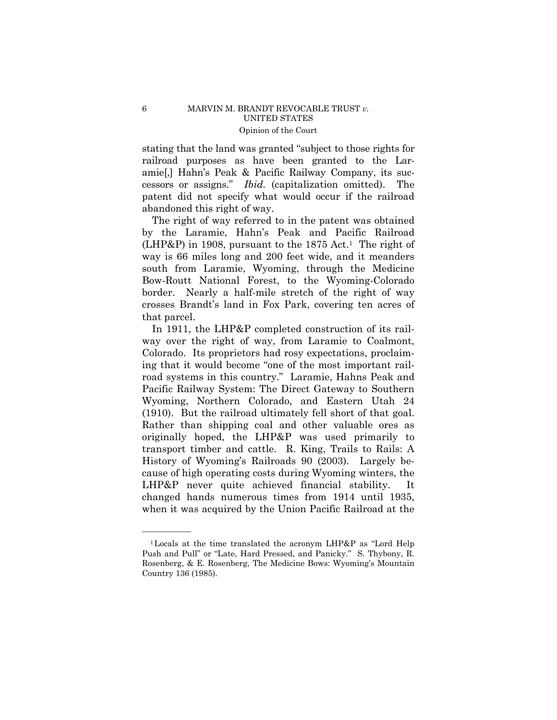stating that the land was granted "subject to those rights for railroad purposes as have been granted to the Laramie[,] Hahn's Peak & Pacific Railway Company, its successors or assigns." *Ibid.* (capitalization omitted). The patent did not specify what would occur if the railroad abandoned this right of way.

The right of way referred to in the patent was obtained by the Laramie, Hahn's Peak and Pacific Railroad  $(LHP\&P)$  in 1908, pursuant to the 1875 Act.<sup>1</sup> The right of way is 66 miles long and 200 feet wide, and it meanders south from Laramie, Wyoming, through the Medicine Bow-Routt National Forest, to the Wyoming-Colorado border. Nearly a half-mile stretch of the right of way crosses Brandt's land in Fox Park, covering ten acres of that parcel.

 Rather than shipping coal and other valuable ores as In 1911, the LHP&P completed construction of its railway over the right of way, from Laramie to Coalmont, Colorado. Its proprietors had rosy expectations, proclaiming that it would become "one of the most important railroad systems in this country." Laramie, Hahns Peak and Pacific Railway System: The Direct Gateway to Southern Wyoming, Northern Colorado, and Eastern Utah 24 (1910). But the railroad ultimately fell short of that goal. originally hoped, the LHP&P was used primarily to transport timber and cattle. R. King, Trails to Rails: A History of Wyoming's Railroads 90 (2003). Largely because of high operating costs during Wyoming winters, the LHP&P never quite achieved financial stability. It changed hands numerous times from 1914 until 1935, when it was acquired by the Union Pacific Railroad at the

——————

<sup>1</sup>Locals at the time translated the acronym LHP&P as "Lord Help Push and Pull" or "Late, Hard Pressed, and Panicky." S. Thybony, R. Rosenberg, & E. Rosenberg, The Medicine Bows: Wyoming's Mountain Country 136 (1985).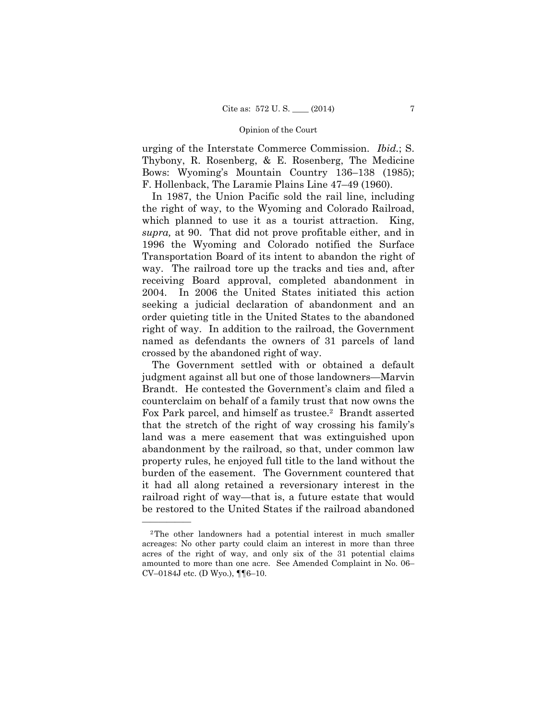urging of the Interstate Commerce Commission. *Ibid.*; S. Thybony, R. Rosenberg, & E. Rosenberg, The Medicine Bows: Wyoming's Mountain Country 136–138 (1985); F. Hollenback, The Laramie Plains Line 47–49 (1960).

In 1987, the Union Pacific sold the rail line, including the right of way, to the Wyoming and Colorado Railroad, which planned to use it as a tourist attraction. King, *supra,* at 90. That did not prove profitable either, and in 1996 the Wyoming and Colorado notified the Surface Transportation Board of its intent to abandon the right of way. The railroad tore up the tracks and ties and, after receiving Board approval, completed abandonment in 2004. In 2006 the United States initiated this action seeking a judicial declaration of abandonment and an order quieting title in the United States to the abandoned right of way. In addition to the railroad, the Government named as defendants the owners of 31 parcels of land crossed by the abandoned right of way.

The Government settled with or obtained a default judgment against all but one of those landowners—Marvin Brandt. He contested the Government's claim and filed a counterclaim on behalf of a family trust that now owns the Fox Park parcel, and himself as trustee.<sup>2</sup> Brandt asserted that the stretch of the right of way crossing his family's land was a mere easement that was extinguished upon abandonment by the railroad, so that, under common law property rules, he enjoyed full title to the land without the burden of the easement. The Government countered that it had all along retained a reversionary interest in the railroad right of way—that is, a future estate that would be restored to the United States if the railroad abandoned

——————

<sup>2</sup>The other landowners had a potential interest in much smaller acreages: No other party could claim an interest in more than three acres of the right of way, and only six of the 31 potential claims amounted to more than one acre. See Amended Complaint in No. 06– CV–0184J etc. (D Wyo.), ¶¶6–10.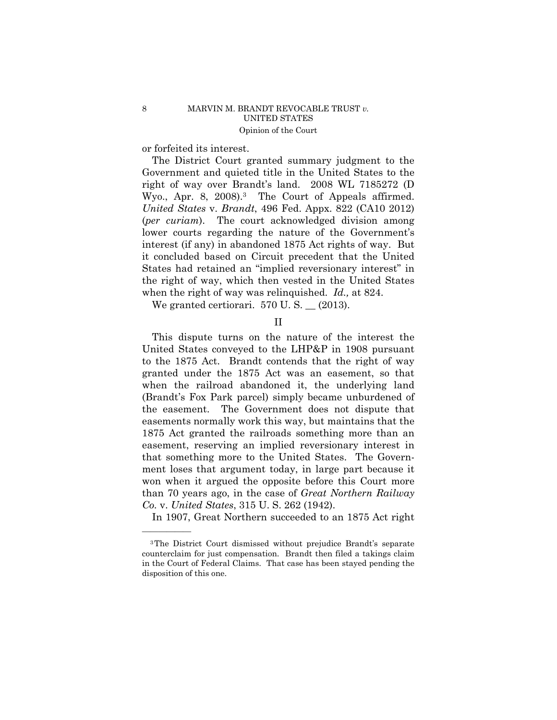or forfeited its interest.

——————

The District Court granted summary judgment to the Government and quieted title in the United States to the right of way over Brandt's land. 2008 WL 7185272 (D Wyo., Apr. 8, 2008).<sup>3</sup> The Court of Appeals affirmed. *United States* v. *Brandt*, 496 Fed. Appx. 822 (CA10 2012) (*per curiam*). The court acknowledged division among lower courts regarding the nature of the Government's interest (if any) in abandoned 1875 Act rights of way. But it concluded based on Circuit precedent that the United States had retained an "implied reversionary interest" in the right of way, which then vested in the United States when the right of way was relinquished. *Id.,* at 824.

We granted certiorari.  $570$  U.S.  $\_$  (2013).

II

This dispute turns on the nature of the interest the United States conveyed to the LHP&P in 1908 pursuant to the 1875 Act. Brandt contends that the right of way granted under the 1875 Act was an easement, so that when the railroad abandoned it, the underlying land (Brandt's Fox Park parcel) simply became unburdened of the easement. The Government does not dispute that easements normally work this way, but maintains that the 1875 Act granted the railroads something more than an easement, reserving an implied reversionary interest in that something more to the United States. The Government loses that argument today, in large part because it won when it argued the opposite before this Court more than 70 years ago, in the case of *Great Northern Railway Co.* v. *United States*, 315 U. S. 262 (1942).

In 1907, Great Northern succeeded to an 1875 Act right

<sup>3</sup>The District Court dismissed without prejudice Brandt's separate counterclaim for just compensation. Brandt then filed a takings claim in the Court of Federal Claims. That case has been stayed pending the disposition of this one.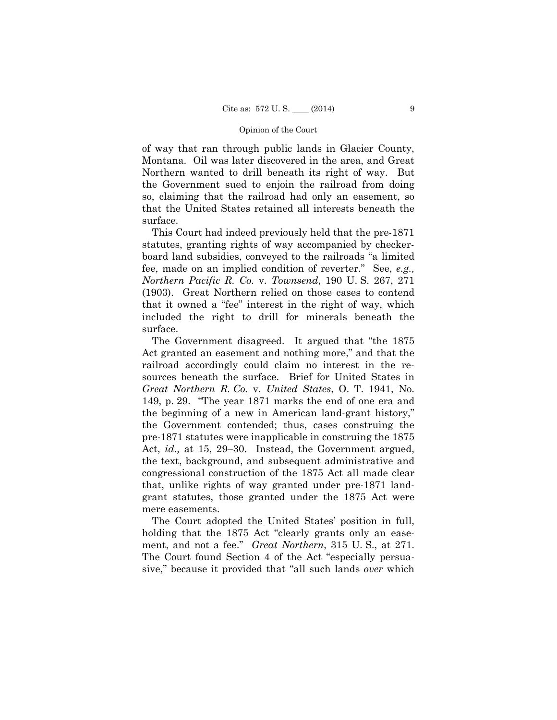of way that ran through public lands in Glacier County, Montana. Oil was later discovered in the area, and Great Northern wanted to drill beneath its right of way. But the Government sued to enjoin the railroad from doing so, claiming that the railroad had only an easement, so that the United States retained all interests beneath the surface.

This Court had indeed previously held that the pre-1871 statutes, granting rights of way accompanied by checkerboard land subsidies, conveyed to the railroads "a limited fee, made on an implied condition of reverter." See, *e.g., Northern Pacific R. Co.* v. *Townsend*, 190 U. S. 267, 271 (1903). Great Northern relied on those cases to contend that it owned a "fee" interest in the right of way, which included the right to drill for minerals beneath the surface.

The Government disagreed. It argued that "the 1875 Act granted an easement and nothing more," and that the railroad accordingly could claim no interest in the resources beneath the surface. Brief for United States in *Great Northern R. Co.* v. *United States*, O. T. 1941, No. 149, p. 29. "The year 1871 marks the end of one era and the beginning of a new in American land-grant history," the Government contended; thus, cases construing the pre-1871 statutes were inapplicable in construing the 1875 Act, *id.,* at 15, 29–30. Instead, the Government argued, the text, background, and subsequent administrative and congressional construction of the 1875 Act all made clear that, unlike rights of way granted under pre-1871 landgrant statutes, those granted under the 1875 Act were mere easements.

The Court adopted the United States' position in full, holding that the 1875 Act "clearly grants only an easement, and not a fee." *Great Northern*, 315 U. S., at 271. The Court found Section 4 of the Act "especially persuasive," because it provided that "all such lands *over* which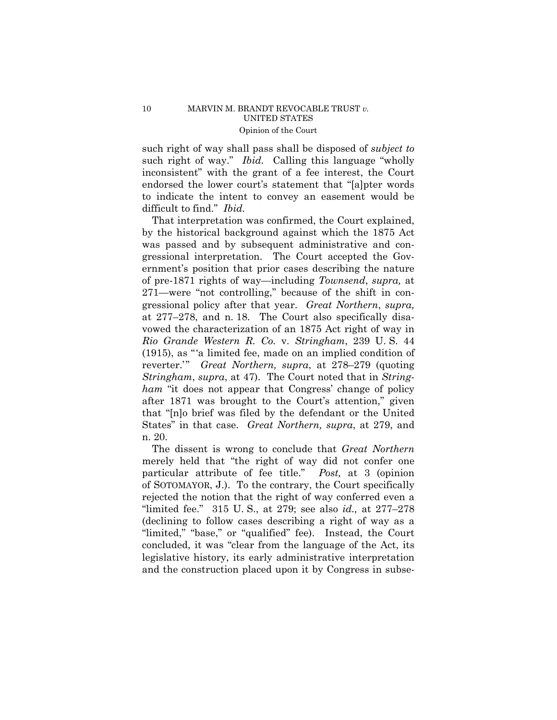such right of way." *Ibid.* Calling this language "wholly such right of way shall pass shall be disposed of *subject to* inconsistent" with the grant of a fee interest, the Court endorsed the lower court's statement that "[a]pter words to indicate the intent to convey an easement would be difficult to find." *Ibid.* 

That interpretation was confirmed, the Court explained, by the historical background against which the 1875 Act was passed and by subsequent administrative and congressional interpretation. The Court accepted the Government's position that prior cases describing the nature of pre-1871 rights of way—including *Townsend*, *supra,* at 271—were "not controlling," because of the shift in congressional policy after that year. *Great Northern*, *supra,*  at 277–278, and n. 18. The Court also specifically disavowed the characterization of an 1875 Act right of way in *Rio Grande Western R. Co.* v. *Stringham*, 239 U. S. 44 (1915), as "'a limited fee, made on an implied condition of reverter.'" *Great Northern, supra*, at 278–279 (quoting *Stringham*, *supra*, at 47). The Court noted that in *Stringham* "it does not appear that Congress' change of policy after 1871 was brought to the Court's attention," given that "[n]o brief was filed by the defendant or the United States" in that case. *Great Northern, supra*, at 279, and n. 20.

The dissent is wrong to conclude that *Great Northern*  merely held that "the right of way did not confer one particular attribute of fee title." *Post,* at 3 (opinion of SOTOMAYOR, J.). To the contrary, the Court specifically rejected the notion that the right of way conferred even a "limited fee." 315 U. S., at 279; see also *id.,* at 277–278 (declining to follow cases describing a right of way as a "limited," "base," or "qualified" fee). Instead, the Court concluded, it was "clear from the language of the Act, its legislative history, its early administrative interpretation and the construction placed upon it by Congress in subse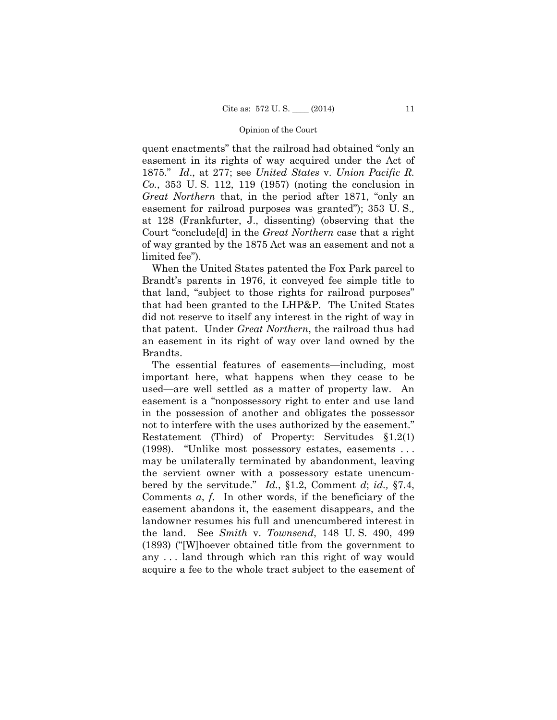quent enactments" that the railroad had obtained "only an easement in its rights of way acquired under the Act of 1875." *Id*., at 277; see *United States* v. *Union Pacific R. Co.*, 353 U. S. 112, 119 (1957) (noting the conclusion in *Great Northern* that, in the period after 1871, "only an easement for railroad purposes was granted"); 353 U. S.*,*  at 128 (Frankfurter, J., dissenting) (observing that the Court "conclude[d] in the *Great Northern* case that a right of way granted by the 1875 Act was an easement and not a limited fee").

When the United States patented the Fox Park parcel to Brandt's parents in 1976, it conveyed fee simple title to that land, "subject to those rights for railroad purposes" that had been granted to the LHP&P. The United States did not reserve to itself any interest in the right of way in that patent. Under *Great Northern*, the railroad thus had an easement in its right of way over land owned by the Brandts.

The essential features of easements—including, most important here, what happens when they cease to be used—are well settled as a matter of property law. An easement is a "nonpossessory right to enter and use land in the possession of another and obligates the possessor not to interfere with the uses authorized by the easement." Restatement (Third) of Property: Servitudes §1.2(1) (1998). "Unlike most possessory estates, easements . . . may be unilaterally terminated by abandonment, leaving the servient owner with a possessory estate unencumbered by the servitude." *Id.*, §1.2, Comment *d*; *id.,* §7.4, Comments *a*, *f*. In other words, if the beneficiary of the easement abandons it, the easement disappears, and the landowner resumes his full and unencumbered interest in the land. See *Smith* v. *Townsend*, 148 U. S. 490, 499 (1893) ("[W]hoever obtained title from the government to any . . . land through which ran this right of way would acquire a fee to the whole tract subject to the easement of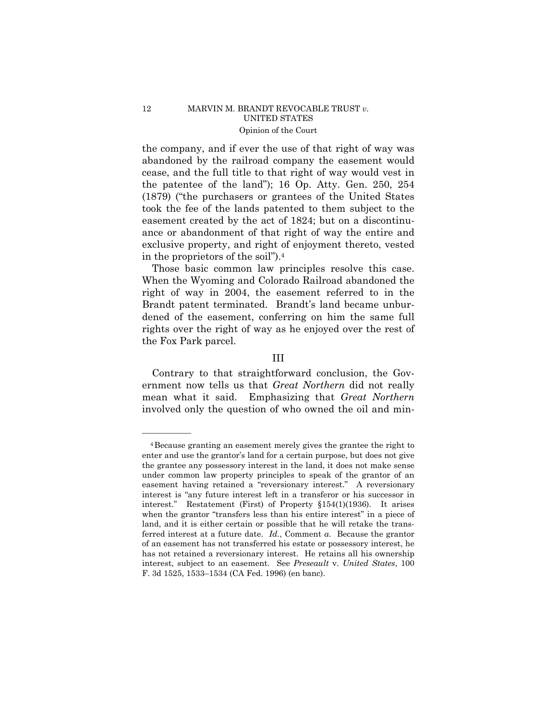the company, and if ever the use of that right of way was abandoned by the railroad company the easement would cease, and the full title to that right of way would vest in the patentee of the land"); 16 Op. Atty. Gen. 250, 254 (1879) ("the purchasers or grantees of the United States took the fee of the lands patented to them subject to the easement created by the act of 1824; but on a discontinuance or abandonment of that right of way the entire and exclusive property, and right of enjoyment thereto, vested in the proprietors of the soil").4

Those basic common law principles resolve this case. When the Wyoming and Colorado Railroad abandoned the right of way in 2004, the easement referred to in the Brandt patent terminated. Brandt's land became unburdened of the easement, conferring on him the same full rights over the right of way as he enjoyed over the rest of the Fox Park parcel.

### III

Contrary to that straightforward conclusion, the Government now tells us that *Great Northern* did not really mean what it said. Emphasizing that *Great Northern*  involved only the question of who owned the oil and min-

——————

 easement having retained a "reversionary interest." A reversionary has not retained a reversionary interest. He retains all his ownership 4Because granting an easement merely gives the grantee the right to enter and use the grantor's land for a certain purpose, but does not give the grantee any possessory interest in the land, it does not make sense under common law property principles to speak of the grantor of an interest is "any future interest left in a transferor or his successor in interest." Restatement (First) of Property §154(1)(1936). It arises when the grantor "transfers less than his entire interest" in a piece of land, and it is either certain or possible that he will retake the transferred interest at a future date. *Id.*, Comment *a*. Because the grantor of an easement has not transferred his estate or possessory interest, he interest, subject to an easement. See *Preseault* v. *United States*, 100 F. 3d 1525, 1533–1534 (CA Fed. 1996) (en banc).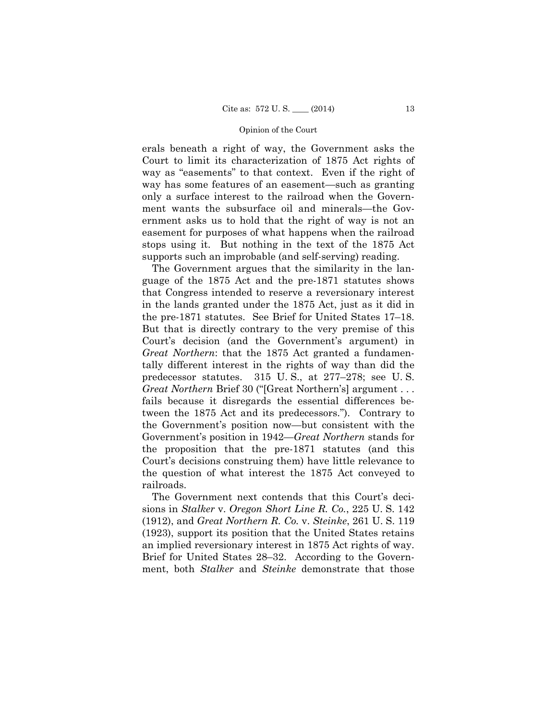erals beneath a right of way, the Government asks the Court to limit its characterization of 1875 Act rights of way as "easements" to that context. Even if the right of way has some features of an easement—such as granting only a surface interest to the railroad when the Government wants the subsurface oil and minerals—the Government asks us to hold that the right of way is not an easement for purposes of what happens when the railroad stops using it. But nothing in the text of the 1875 Act supports such an improbable (and self-serving) reading.

The Government argues that the similarity in the language of the 1875 Act and the pre-1871 statutes shows that Congress intended to reserve a reversionary interest in the lands granted under the 1875 Act, just as it did in the pre-1871 statutes. See Brief for United States 17–18. But that is directly contrary to the very premise of this Court's decision (and the Government's argument) in *Great Northern*: that the 1875 Act granted a fundamentally different interest in the rights of way than did the predecessor statutes. 315 U. S., at 277–278; see U. S. *Great Northern* Brief 30 ("[Great Northern's] argument . . . fails because it disregards the essential differences between the 1875 Act and its predecessors."). Contrary to the Government's position now—but consistent with the Government's position in 1942—*Great Northern* stands for the proposition that the pre-1871 statutes (and this Court's decisions construing them) have little relevance to the question of what interest the 1875 Act conveyed to railroads.

The Government next contends that this Court's decisions in *Stalker* v. *Oregon Short Line R. Co.*, 225 U. S. 142 (1912), and *Great Northern R. Co.* v. *Steinke*, 261 U. S. 119 (1923), support its position that the United States retains an implied reversionary interest in 1875 Act rights of way. Brief for United States 28–32. According to the Government, both *Stalker* and *Steinke* demonstrate that those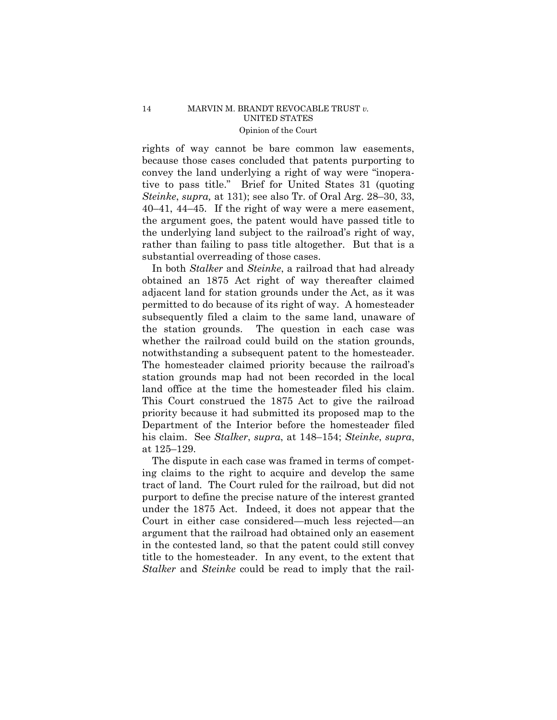rights of way cannot be bare common law easements, because those cases concluded that patents purporting to convey the land underlying a right of way were "inoperative to pass title." Brief for United States 31 (quoting *Steinke*, *supra,* at 131); see also Tr. of Oral Arg. 28–30, 33, 40–41, 44–45. If the right of way were a mere easement, the argument goes, the patent would have passed title to the underlying land subject to the railroad's right of way, rather than failing to pass title altogether. But that is a substantial overreading of those cases.

 In both *Stalker* and *Steinke*, a railroad that had already obtained an 1875 Act right of way thereafter claimed adjacent land for station grounds under the Act, as it was permitted to do because of its right of way. A homesteader subsequently filed a claim to the same land, unaware of the station grounds. The question in each case was whether the railroad could build on the station grounds, notwithstanding a subsequent patent to the homesteader. The homesteader claimed priority because the railroad's station grounds map had not been recorded in the local land office at the time the homesteader filed his claim. This Court construed the 1875 Act to give the railroad priority because it had submitted its proposed map to the Department of the Interior before the homesteader filed his claim. See *Stalker*, *supra*, at 148–154; *Steinke*, *supra*, at 125–129.

The dispute in each case was framed in terms of competing claims to the right to acquire and develop the same tract of land. The Court ruled for the railroad, but did not purport to define the precise nature of the interest granted under the 1875 Act. Indeed, it does not appear that the Court in either case considered—much less rejected—an argument that the railroad had obtained only an easement in the contested land, so that the patent could still convey title to the homesteader. In any event, to the extent that *Stalker* and *Steinke* could be read to imply that the rail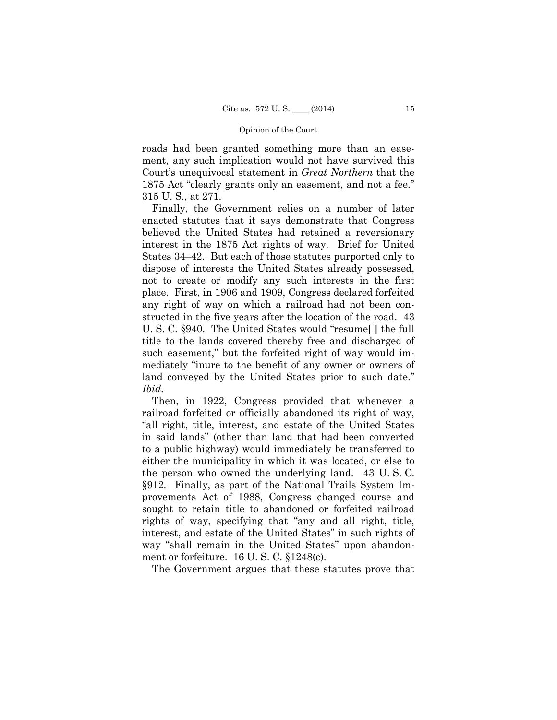roads had been granted something more than an easement, any such implication would not have survived this Court's unequivocal statement in *Great Northern* that the 1875 Act "clearly grants only an easement, and not a fee." 315 U. S., at 271.

Finally, the Government relies on a number of later enacted statutes that it says demonstrate that Congress believed the United States had retained a reversionary interest in the 1875 Act rights of way. Brief for United States 34–42. But each of those statutes purported only to dispose of interests the United States already possessed, not to create or modify any such interests in the first place. First, in 1906 and 1909, Congress declared forfeited any right of way on which a railroad had not been constructed in the five years after the location of the road. 43 U. S. C. §940. The United States would "resume[ ] the full title to the lands covered thereby free and discharged of such easement," but the forfeited right of way would immediately "inure to the benefit of any owner or owners of land conveyed by the United States prior to such date." *Ibid.* 

Then, in 1922, Congress provided that whenever a railroad forfeited or officially abandoned its right of way, "all right, title, interest, and estate of the United States in said lands" (other than land that had been converted to a public highway) would immediately be transferred to either the municipality in which it was located, or else to the person who owned the underlying land. 43 U. S. C. §912*.* Finally, as part of the National Trails System Improvements Act of 1988, Congress changed course and sought to retain title to abandoned or forfeited railroad rights of way, specifying that "any and all right, title, interest, and estate of the United States" in such rights of way "shall remain in the United States" upon abandonment or forfeiture. 16 U. S. C. §1248(c).

The Government argues that these statutes prove that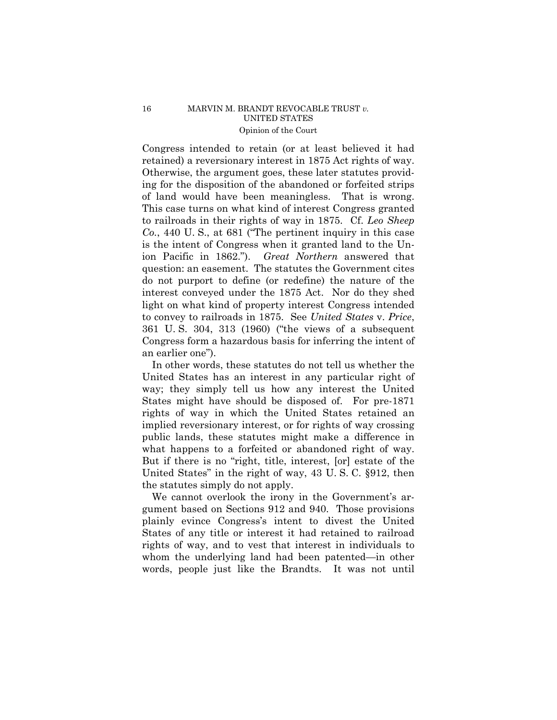Congress intended to retain (or at least believed it had retained) a reversionary interest in 1875 Act rights of way. Otherwise, the argument goes, these later statutes providing for the disposition of the abandoned or forfeited strips of land would have been meaningless. That is wrong. This case turns on what kind of interest Congress granted to railroads in their rights of way in 1875. Cf. *Leo Sheep Co.*, 440 U. S., at 681 ("The pertinent inquiry in this case is the intent of Congress when it granted land to the Union Pacific in 1862."). *Great Northern* answered that question: an easement. The statutes the Government cites do not purport to define (or redefine) the nature of the interest conveyed under the 1875 Act. Nor do they shed light on what kind of property interest Congress intended to convey to railroads in 1875. See *United States* v. *Price*, 361 U. S. 304, 313 (1960) ("the views of a subsequent Congress form a hazardous basis for inferring the intent of an earlier one").

In other words, these statutes do not tell us whether the United States has an interest in any particular right of way; they simply tell us how any interest the United States might have should be disposed of. For pre-1871 rights of way in which the United States retained an implied reversionary interest, or for rights of way crossing public lands, these statutes might make a difference in what happens to a forfeited or abandoned right of way. But if there is no "right, title, interest, [or] estate of the United States" in the right of way, 43 U. S. C. §912, then the statutes simply do not apply.

We cannot overlook the irony in the Government's argument based on Sections 912 and 940. Those provisions plainly evince Congress's intent to divest the United States of any title or interest it had retained to railroad rights of way, and to vest that interest in individuals to whom the underlying land had been patented—in other words, people just like the Brandts. It was not until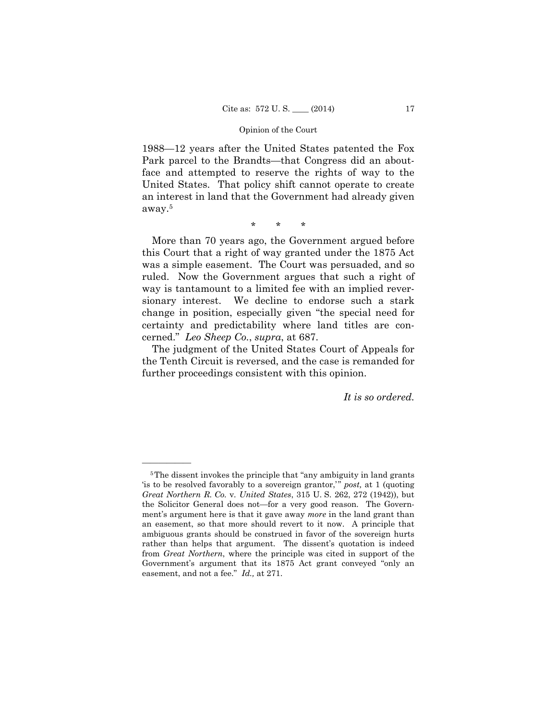1988—12 years after the United States patented the Fox Park parcel to the Brandts—that Congress did an aboutface and attempted to reserve the rights of way to the United States. That policy shift cannot operate to create an interest in land that the Government had already given away.5

\* \* \*

More than 70 years ago, the Government argued before this Court that a right of way granted under the 1875 Act was a simple easement. The Court was persuaded, and so ruled. Now the Government argues that such a right of way is tantamount to a limited fee with an implied reversionary interest. We decline to endorse such a stark change in position, especially given "the special need for certainty and predictability where land titles are concerned." *Leo Sheep Co.*, *supra*, at 687.

The judgment of the United States Court of Appeals for the Tenth Circuit is reversed, and the case is remanded for further proceedings consistent with this opinion.

*It is so ordered.* 

——————

 *Great Northern R. Co.* v*. United States*, 315 U. S. 262, 272 (1942)), but <sup>5</sup>The dissent invokes the principle that "any ambiguity in land grants" 'is to be resolved favorably to a sovereign grantor,'" post, at 1 (quoting the Solicitor General does not—for a very good reason. The Government's argument here is that it gave away *more* in the land grant than an easement, so that more should revert to it now. A principle that ambiguous grants should be construed in favor of the sovereign hurts rather than helps that argument. The dissent's quotation is indeed from *Great Northern*, where the principle was cited in support of the Government's argument that its 1875 Act grant conveyed "only an easement, and not a fee." *Id.,* at 271.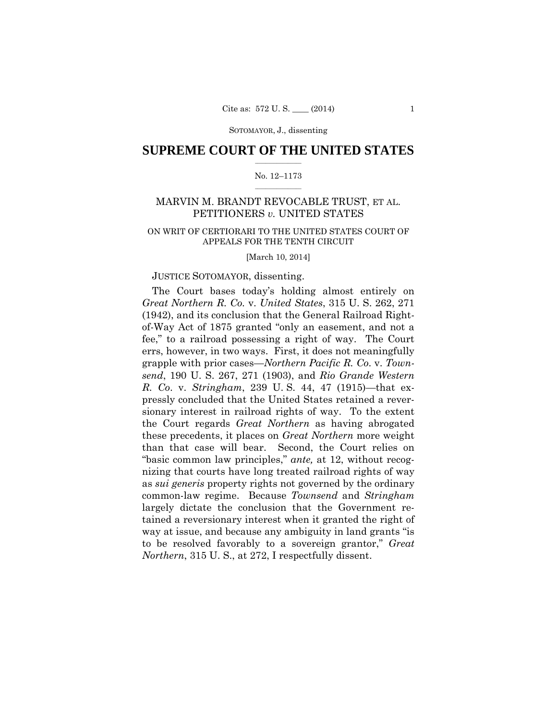SOTOMAYOR, J., dissenting

### $\frac{1}{2}$  ,  $\frac{1}{2}$  ,  $\frac{1}{2}$  ,  $\frac{1}{2}$  ,  $\frac{1}{2}$  ,  $\frac{1}{2}$  ,  $\frac{1}{2}$ **SUPREME COURT OF THE UNITED STATES**

### $\frac{1}{2}$  ,  $\frac{1}{2}$  ,  $\frac{1}{2}$  ,  $\frac{1}{2}$  ,  $\frac{1}{2}$  ,  $\frac{1}{2}$ No. 12–1173

# MARVIN M. BRANDT REVOCABLE TRUST, ET AL. PETITIONERS *v.* UNITED STATES

# ON WRIT OF CERTIORARI TO THE UNITED STATES COURT OF APPEALS FOR THE TENTH CIRCUIT

[March 10, 2014]

### JUSTICE SOTOMAYOR, dissenting.

The Court bases today's holding almost entirely on *Great Northern R. Co.* v. *United States*, 315 U. S. 262, 271 (1942), and its conclusion that the General Railroad Rightof-Way Act of 1875 granted "only an easement, and not a fee," to a railroad possessing a right of way. The Court errs, however, in two ways. First, it does not meaningfully grapple with prior cases—*Northern Pacific R. Co*. v. *Townsend*, 190 U. S. 267, 271 (1903), and *Rio Grande Western R. Co*. v. *Stringham*, 239 U. S. 44, 47 (1915)—that expressly concluded that the United States retained a reversionary interest in railroad rights of way. To the extent the Court regards *Great Northern* as having abrogated these precedents, it places on *Great Northern* more weight than that case will bear. Second, the Court relies on "basic common law principles," *ante,* at 12, without recognizing that courts have long treated railroad rights of way as *sui generis* property rights not governed by the ordinary common-law regime. Because *Townsend* and *Stringham*  largely dictate the conclusion that the Government retained a reversionary interest when it granted the right of way at issue, and because any ambiguity in land grants "is to be resolved favorably to a sovereign grantor," *Great Northern*, 315 U. S., at 272, I respectfully dissent.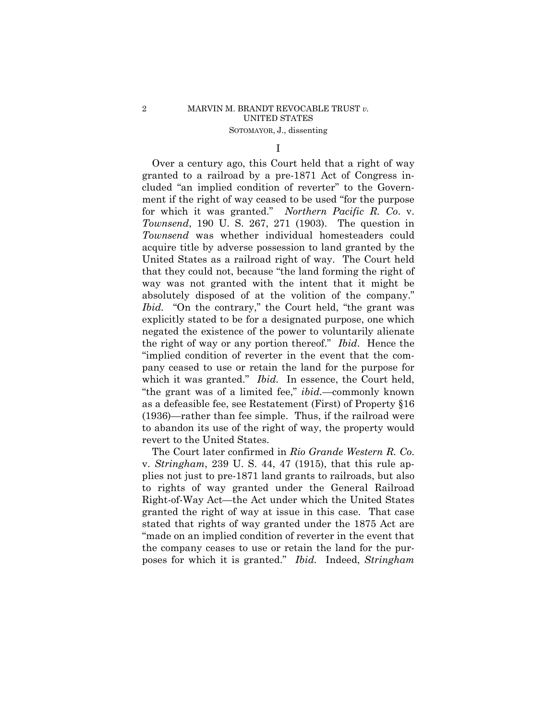# 2 MARVIN M. BRANDT REVOCABLE TRUST *v.* UNITED STATES SOTOMAYOR, J., dissenting

I

 which it was granted." *Ibid.* In essence, the Court held, Over a century ago, this Court held that a right of way granted to a railroad by a pre-1871 Act of Congress included "an implied condition of reverter" to the Government if the right of way ceased to be used "for the purpose for which it was granted." *Northern Pacific R. Co*. v. *Townsend*, 190 U. S. 267, 271 (1903). The question in *Townsend* was whether individual homesteaders could acquire title by adverse possession to land granted by the United States as a railroad right of way. The Court held that they could not, because "the land forming the right of way was not granted with the intent that it might be absolutely disposed of at the volition of the company." *Ibid.* "On the contrary," the Court held, "the grant was explicitly stated to be for a designated purpose, one which negated the existence of the power to voluntarily alienate the right of way or any portion thereof." *Ibid*. Hence the "implied condition of reverter in the event that the company ceased to use or retain the land for the purpose for "the grant was of a limited fee," *ibid.*—commonly known as a defeasible fee, see Restatement (First) of Property §16 (1936)—rather than fee simple. Thus, if the railroad were to abandon its use of the right of way, the property would revert to the United States.

The Court later confirmed in *Rio Grande Western R. Co*. v. *Stringham*, 239 U. S. 44, 47 (1915), that this rule applies not just to pre-1871 land grants to railroads, but also to rights of way granted under the General Railroad Right-of-Way Act—the Act under which the United States granted the right of way at issue in this case. That case stated that rights of way granted under the 1875 Act are "made on an implied condition of reverter in the event that the company ceases to use or retain the land for the purposes for which it is granted." *Ibid.* Indeed, *Stringham*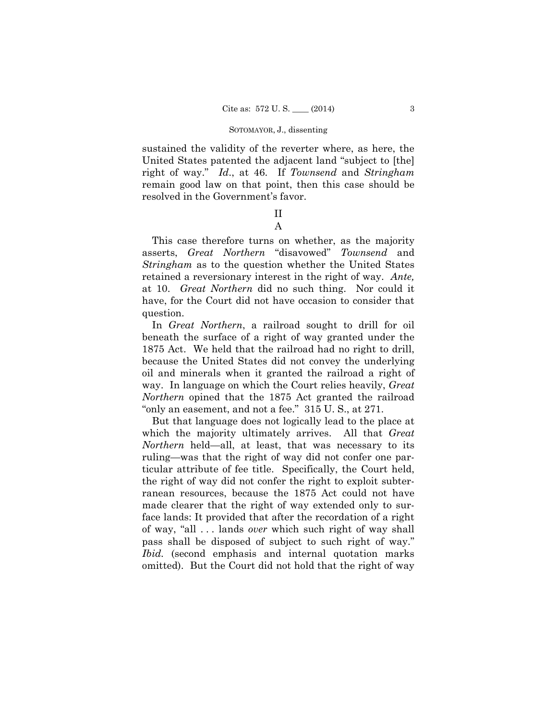#### SOTOMAYOR, J., dissenting

sustained the validity of the reverter where, as here, the United States patented the adjacent land "subject to [the] right of way." *Id*., at 46. If *Townsend* and *Stringham* remain good law on that point, then this case should be resolved in the Government's favor.

# II A

This case therefore turns on whether, as the majority asserts, *Great Northern* "disavowed" *Townsend* and *Stringham* as to the question whether the United States retained a reversionary interest in the right of way. *Ante,*  at 10. *Great Northern* did no such thing. Nor could it have, for the Court did not have occasion to consider that question.

In *Great Northern*, a railroad sought to drill for oil beneath the surface of a right of way granted under the 1875 Act. We held that the railroad had no right to drill, because the United States did not convey the underlying oil and minerals when it granted the railroad a right of way. In language on which the Court relies heavily, *Great Northern* opined that the 1875 Act granted the railroad "only an easement, and not a fee." 315 U. S., at 271.

But that language does not logically lead to the place at which the majority ultimately arrives. All that *Great Northern* held—all, at least, that was necessary to its ruling—was that the right of way did not confer one particular attribute of fee title. Specifically, the Court held, the right of way did not confer the right to exploit subterranean resources, because the 1875 Act could not have made clearer that the right of way extended only to surface lands: It provided that after the recordation of a right of way, "all . . . lands *over* which such right of way shall pass shall be disposed of subject to such right of way." *Ibid.* (second emphasis and internal quotation marks omitted). But the Court did not hold that the right of way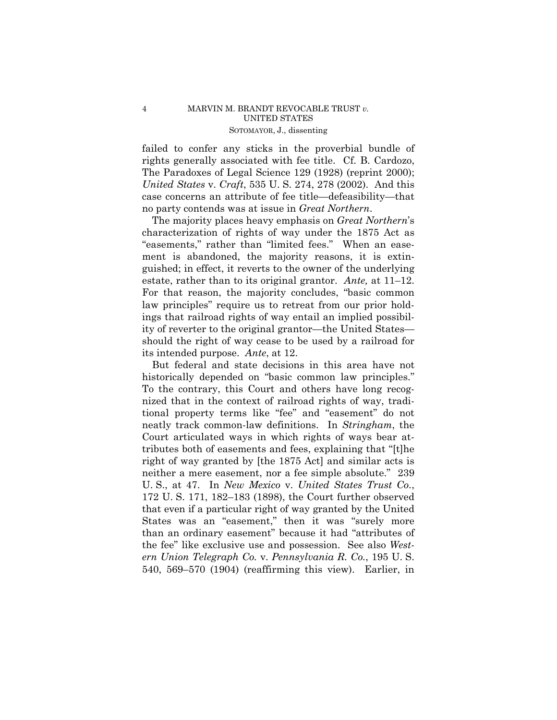### 4 MARVIN M. BRANDT REVOCABLE TRUST *v.* UNITED STATES SOTOMAYOR, J., dissenting

failed to confer any sticks in the proverbial bundle of rights generally associated with fee title. Cf. B. Cardozo, The Paradoxes of Legal Science 129 (1928) (reprint 2000); *United States* v. *Craft*, 535 U. S. 274, 278 (2002). And this case concerns an attribute of fee title—defeasibility—that no party contends was at issue in *Great Northern*.

The majority places heavy emphasis on *Great Northern*'s characterization of rights of way under the 1875 Act as "easements," rather than "limited fees." When an easement is abandoned, the majority reasons, it is extinguished; in effect, it reverts to the owner of the underlying estate, rather than to its original grantor. *Ante,* at 11–12. For that reason, the majority concludes, "basic common law principles" require us to retreat from our prior holdings that railroad rights of way entail an implied possibility of reverter to the original grantor—the United States should the right of way cease to be used by a railroad for its intended purpose. *Ante*, at 12.

 that even if a particular right of way granted by the United But federal and state decisions in this area have not historically depended on "basic common law principles." To the contrary, this Court and others have long recognized that in the context of railroad rights of way, traditional property terms like "fee" and "easement" do not neatly track common-law definitions. In *Stringham*, the Court articulated ways in which rights of ways bear attributes both of easements and fees, explaining that "[t]he right of way granted by [the 1875 Act] and similar acts is neither a mere easement, nor a fee simple absolute." 239 U. S., at 47. In *New Mexico* v. *United States Trust Co.*, 172 U. S. 171, 182–183 (1898), the Court further observed States was an "easement," then it was "surely more than an ordinary easement" because it had "attributes of the fee" like exclusive use and possession. See also *Western Union Telegraph Co.* v. *Pennsylvania R. Co.*, 195 U. S. 540, 569–570 (1904) (reaffirming this view). Earlier, in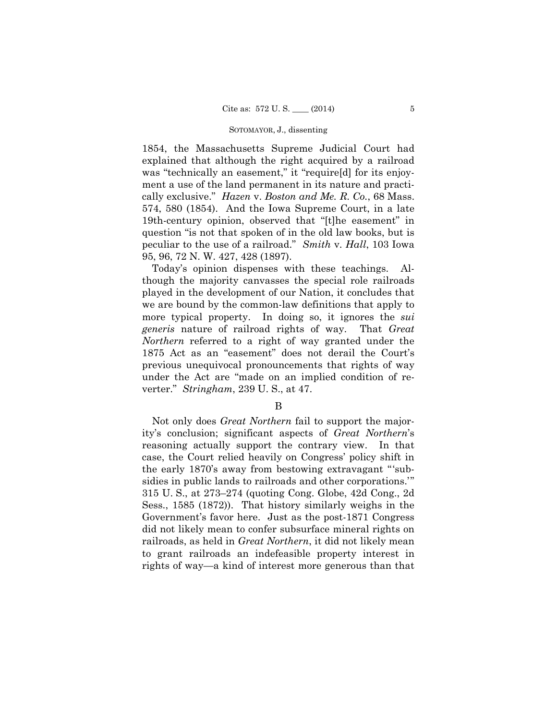#### SOTOMAYOR, J., dissenting

1854, the Massachusetts Supreme Judicial Court had explained that although the right acquired by a railroad was "technically an easement," it "require[d] for its enjoyment a use of the land permanent in its nature and practically exclusive." *Hazen* v. *Boston and Me. R. Co.*, 68 Mass. 574, 580 (1854). And the Iowa Supreme Court, in a late 19th-century opinion, observed that "[t]he easement" in question "is not that spoken of in the old law books, but is peculiar to the use of a railroad." *Smith* v. *Hall*, 103 Iowa 95, 96, 72 N. W. 427, 428 (1897).

Today's opinion dispenses with these teachings. Although the majority canvasses the special role railroads played in the development of our Nation, it concludes that we are bound by the common-law definitions that apply to more typical property. In doing so, it ignores the *sui generis* nature of railroad rights of way. That *Great Northern* referred to a right of way granted under the 1875 Act as an "easement" does not derail the Court's previous unequivocal pronouncements that rights of way under the Act are "made on an implied condition of reverter." *Stringham*, 239 U. S., at 47.

# B

Not only does *Great Northern* fail to support the majority's conclusion; significant aspects of *Great Northern*'s reasoning actually support the contrary view. In that case, the Court relied heavily on Congress' policy shift in the early 1870's away from bestowing extravagant "'subsidies in public lands to railroads and other corporations.'" 315 U. S., at 273–274 (quoting Cong. Globe, 42d Cong., 2d Sess., 1585 (1872)). That history similarly weighs in the Government's favor here. Just as the post-1871 Congress did not likely mean to confer subsurface mineral rights on railroads, as held in *Great Northern*, it did not likely mean to grant railroads an indefeasible property interest in rights of way—a kind of interest more generous than that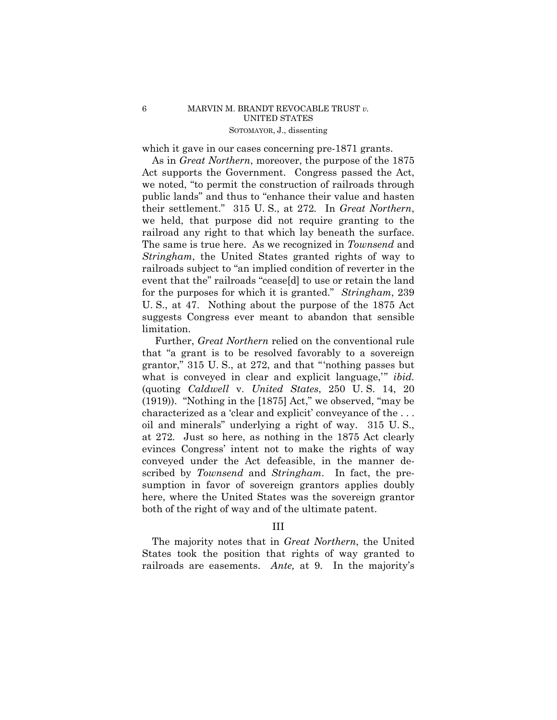## 6 MARVIN M. BRANDT REVOCABLE TRUST *v.* UNITED STATES SOTOMAYOR, J., dissenting

which it gave in our cases concerning pre-1871 grants.

 As in *Great Northern*, moreover, the purpose of the 1875 Act supports the Government. Congress passed the Act, we noted, "to permit the construction of railroads through public lands" and thus to "enhance their value and hasten their settlement." 315 U. S., at 272*.* In *Great Northern*, we held, that purpose did not require granting to the railroad any right to that which lay beneath the surface. The same is true here. As we recognized in *Townsend* and *Stringham*, the United States granted rights of way to railroads subject to "an implied condition of reverter in the event that the" railroads "cease[d] to use or retain the land for the purposes for which it is granted." *Stringham*, 239 U. S., at 47. Nothing about the purpose of the 1875 Act suggests Congress ever meant to abandon that sensible limitation.

Further, *Great Northern* relied on the conventional rule that "a grant is to be resolved favorably to a sovereign grantor," 315 U. S., at 272, and that "'nothing passes but what is conveyed in clear and explicit language," *ibid.* (quoting *Caldwell* v. *United States*, 250 U. S. 14, 20 (1919)). "Nothing in the [1875] Act," we observed, "may be characterized as a 'clear and explicit' conveyance of the . . . oil and minerals" underlying a right of way. 315 U. S., at 272*.* Just so here, as nothing in the 1875 Act clearly evinces Congress' intent not to make the rights of way conveyed under the Act defeasible, in the manner described by *Townsend* and *Stringham*. In fact, the presumption in favor of sovereign grantors applies doubly here, where the United States was the sovereign grantor both of the right of way and of the ultimate patent.

# III

The majority notes that in *Great Northern*, the United States took the position that rights of way granted to railroads are easements. *Ante,* at 9. In the majority's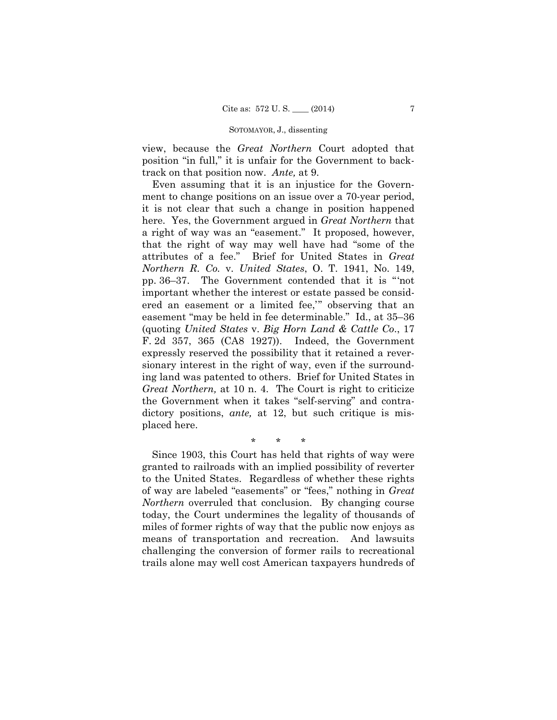### SOTOMAYOR, J., dissenting

view, because the *Great Northern* Court adopted that position "in full," it is unfair for the Government to backtrack on that position now. *Ante,* at 9.

 ment to change positions on an issue over a 70-year period, Even assuming that it is an injustice for the Governit is not clear that such a change in position happened here. Yes, the Government argued in *Great Northern* that a right of way was an "easement." It proposed, however, that the right of way may well have had "some of the attributes of a fee." Brief for United States in *Great Northern R. Co.* v. *United States*, O. T. 1941, No. 149, pp. 36–37. The Government contended that it is "'not important whether the interest or estate passed be considered an easement or a limited fee,'" observing that an easement "may be held in fee determinable." Id., at 35–36 (quoting *United States* v. *Big Horn Land & Cattle Co*., 17 F. 2d 357, 365 (CA8 1927)). Indeed, the Government expressly reserved the possibility that it retained a reversionary interest in the right of way, even if the surrounding land was patented to others. Brief for United States in *Great Northern,* at 10 n. 4. The Court is right to criticize the Government when it takes "self-serving" and contradictory positions, *ante*, at 12, but such critique is misplaced here.

\* \* \*

Since 1903, this Court has held that rights of way were granted to railroads with an implied possibility of reverter to the United States. Regardless of whether these rights of way are labeled "easements" or "fees," nothing in *Great Northern* overruled that conclusion. By changing course today, the Court undermines the legality of thousands of miles of former rights of way that the public now enjoys as means of transportation and recreation. And lawsuits challenging the conversion of former rails to recreational trails alone may well cost American taxpayers hundreds of